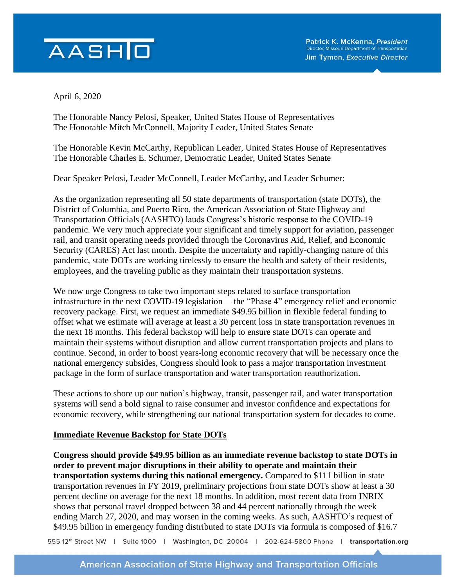## AASHO

April 6, 2020

The Honorable Nancy Pelosi, Speaker, United States House of Representatives The Honorable Mitch McConnell, Majority Leader, United States Senate

The Honorable Kevin McCarthy, Republican Leader, United States House of Representatives The Honorable Charles E. Schumer, Democratic Leader, United States Senate

Dear Speaker Pelosi, Leader McConnell, Leader McCarthy, and Leader Schumer:

As the organization representing all 50 state departments of transportation (state DOTs), the District of Columbia, and Puerto Rico, the American Association of State Highway and Transportation Officials (AASHTO) lauds Congress's historic response to the COVID-19 pandemic. We very much appreciate your significant and timely support for aviation, passenger rail, and transit operating needs provided through the Coronavirus Aid, Relief, and Economic Security (CARES) Act last month. Despite the uncertainty and rapidly-changing nature of this pandemic, state DOTs are working tirelessly to ensure the health and safety of their residents, employees, and the traveling public as they maintain their transportation systems.

We now urge Congress to take two important steps related to surface transportation infrastructure in the next COVID-19 legislation— the "Phase 4" emergency relief and economic recovery package. First, we request an immediate \$49.95 billion in flexible federal funding to offset what we estimate will average at least a 30 percent loss in state transportation revenues in the next 18 months. This federal backstop will help to ensure state DOTs can operate and maintain their systems without disruption and allow current transportation projects and plans to continue. Second, in order to boost years-long economic recovery that will be necessary once the national emergency subsides, Congress should look to pass a major transportation investment package in the form of surface transportation and water transportation reauthorization.

These actions to shore up our nation's highway, transit, passenger rail, and water transportation systems will send a bold signal to raise consumer and investor confidence and expectations for economic recovery, while strengthening our national transportation system for decades to come.

## **Immediate Revenue Backstop for State DOTs**

**Congress should provide \$49.95 billion as an immediate revenue backstop to state DOTs in order to prevent major disruptions in their ability to operate and maintain their transportation systems during this national emergency.** Compared to \$111 billion in state transportation revenues in FY 2019, preliminary projections from state DOTs show at least a 30 percent decline on average for the next 18 months. In addition, most recent data from INRIX shows that personal travel dropped between 38 and 44 percent nationally through the week ending March 27, 2020, and may worsen in the coming weeks. As such, AASHTO's request of \$49.95 billion in emergency funding distributed to state DOTs via formula is composed of \$16.7

555 12<sup>th</sup> Street NW | Suite 1000 | Washington, DC 20004 | 202-624-5800 Phone | transportation.org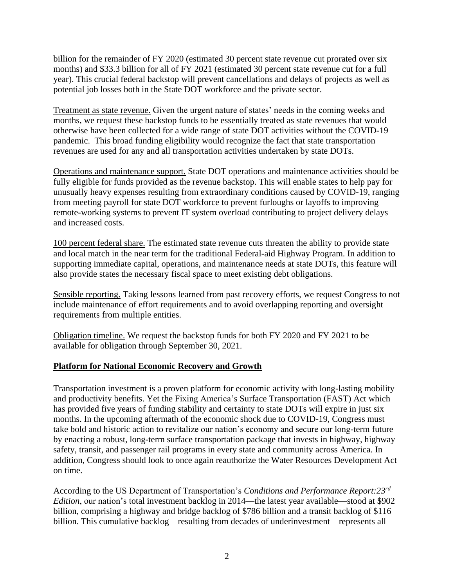billion for the remainder of FY 2020 (estimated 30 percent state revenue cut prorated over six months) and \$33.3 billion for all of FY 2021 (estimated 30 percent state revenue cut for a full year). This crucial federal backstop will prevent cancellations and delays of projects as well as potential job losses both in the State DOT workforce and the private sector.

Treatment as state revenue. Given the urgent nature of states' needs in the coming weeks and months, we request these backstop funds to be essentially treated as state revenues that would otherwise have been collected for a wide range of state DOT activities without the COVID-19 pandemic. This broad funding eligibility would recognize the fact that state transportation revenues are used for any and all transportation activities undertaken by state DOTs.

Operations and maintenance support. State DOT operations and maintenance activities should be fully eligible for funds provided as the revenue backstop. This will enable states to help pay for unusually heavy expenses resulting from extraordinary conditions caused by COVID-19, ranging from meeting payroll for state DOT workforce to prevent furloughs or layoffs to improving remote-working systems to prevent IT system overload contributing to project delivery delays and increased costs.

100 percent federal share. The estimated state revenue cuts threaten the ability to provide state and local match in the near term for the traditional Federal-aid Highway Program. In addition to supporting immediate capital, operations, and maintenance needs at state DOTs, this feature will also provide states the necessary fiscal space to meet existing debt obligations.

Sensible reporting. Taking lessons learned from past recovery efforts, we request Congress to not include maintenance of effort requirements and to avoid overlapping reporting and oversight requirements from multiple entities.

Obligation timeline. We request the backstop funds for both FY 2020 and FY 2021 to be available for obligation through September 30, 2021.

## **Platform for National Economic Recovery and Growth**

Transportation investment is a proven platform for economic activity with long-lasting mobility and productivity benefits. Yet the Fixing America's Surface Transportation (FAST) Act which has provided five years of funding stability and certainty to state DOTs will expire in just six months. In the upcoming aftermath of the economic shock due to COVID-19, Congress must take bold and historic action to revitalize our nation's economy and secure our long-term future by enacting a robust, long-term surface transportation package that invests in highway, highway safety, transit, and passenger rail programs in every state and community across America. In addition, Congress should look to once again reauthorize the Water Resources Development Act on time.

According to the US Department of Transportation's *Conditions and Performance Report:23rd Edition*, our nation's total investment backlog in 2014—the latest year available—stood at \$902 billion, comprising a highway and bridge backlog of \$786 billion and a transit backlog of \$116 billion. This cumulative backlog—resulting from decades of underinvestment—represents all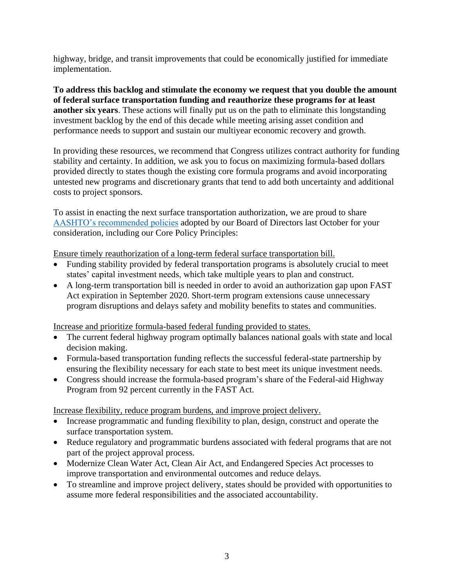highway, bridge, and transit improvements that could be economically justified for immediate implementation.

**To address this backlog and stimulate the economy we request that you double the amount of federal surface transportation funding and reauthorize these programs for at least another six years**. These actions will finally put us on the path to eliminate this longstanding investment backlog by the end of this decade while meeting arising asset condition and performance needs to support and sustain our multiyear economic recovery and growth.

In providing these resources, we recommend that Congress utilizes contract authority for funding stability and certainty. In addition, we ask you to focus on maximizing formula-based dollars provided directly to states though the existing core formula programs and avoid incorporating untested new programs and discretionary grants that tend to add both uncertainty and additional costs to project sponsors.

To assist in enacting the next surface transportation authorization, we are proud to share [AASHTO's recommended policies](https://policy.transportation.org/wp-content/uploads/sites/59/2019/10/2019-10-09-Official-AASHTO-Surface-Reauthorization-Package-FINAL_WL-v2-1.pdf) adopted by our Board of Directors last October for your consideration, including our Core Policy Principles:

Ensure timely reauthorization of a long-term federal surface transportation bill.

- Funding stability provided by federal transportation programs is absolutely crucial to meet states' capital investment needs, which take multiple years to plan and construct.
- A long-term transportation bill is needed in order to avoid an authorization gap upon FAST Act expiration in September 2020. Short-term program extensions cause unnecessary program disruptions and delays safety and mobility benefits to states and communities.

Increase and prioritize formula-based federal funding provided to states.

- The current federal highway program optimally balances national goals with state and local decision making.
- Formula-based transportation funding reflects the successful federal-state partnership by ensuring the flexibility necessary for each state to best meet its unique investment needs.
- Congress should increase the formula-based program's share of the Federal-aid Highway Program from 92 percent currently in the FAST Act.

Increase flexibility, reduce program burdens, and improve project delivery.

- Increase programmatic and funding flexibility to plan, design, construct and operate the surface transportation system.
- Reduce regulatory and programmatic burdens associated with federal programs that are not part of the project approval process.
- Modernize Clean Water Act, Clean Air Act, and Endangered Species Act processes to improve transportation and environmental outcomes and reduce delays.
- To streamline and improve project delivery, states should be provided with opportunities to assume more federal responsibilities and the associated accountability.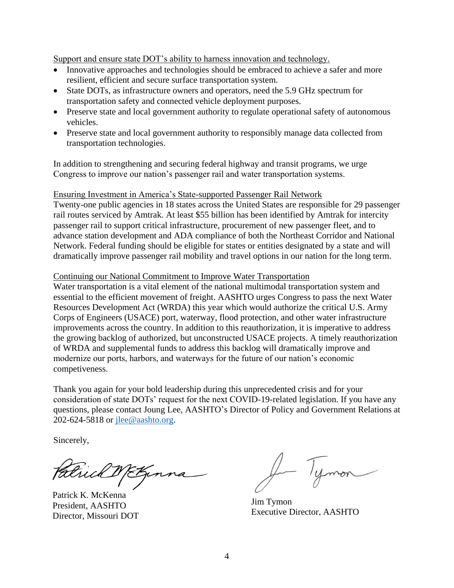Support and ensure state DOT's ability to harness innovation and technology.

- Innovative approaches and technologies should be embraced to achieve a safer and more resilient, efficient and secure surface transportation system.
- State DOTs, as infrastructure owners and operators, need the 5.9 GHz spectrum for transportation safety and connected vehicle deployment purposes.
- Preserve state and local government authority to regulate operational safety of autonomous vehicles.
- Preserve state and local government authority to responsibly manage data collected from transportation technologies.

In addition to strengthening and securing federal highway and transit programs, we urge Congress to improve our nation's passenger rail and water transportation systems.

Ensuring Investment in America's State-supported Passenger Rail Network

Twenty-one public agencies in 18 states across the United States are responsible for 29 passenger rail routes serviced by Amtrak. At least \$55 billion has been identified by Amtrak for intercity passenger rail to support critical infrastructure, procurement of new passenger fleet, and to advance station development and ADA compliance of both the Northeast Corridor and National Network. Federal funding should be eligible for states or entities designated by a state and will dramatically improve passenger rail mobility and travel options in our nation for the long term.

## Continuing our National Commitment to Improve Water Transportation

Water transportation is a vital element of the national multimodal transportation system and essential to the efficient movement of freight. AASHTO urges Congress to pass the next Water Resources Development Act (WRDA) this year which would authorize the critical U.S. Army Corps of Engineers (USACE) port, waterway, flood protection, and other water infrastructure improvements across the country. In addition to this reauthorization, it is imperative to address the growing backlog of authorized, but unconstructed USACE projects. A timely reauthorization of WRDA and supplemental funds to address this backlog will dramatically improve and modernize our ports, harbors, and waterways for the future of our nation's economic competiveness.

Thank you again for your bold leadership during this unprecedented crisis and for your consideration of state DOTs' request for the next COVID-19-related legislation. If you have any questions, please contact Joung Lee, AASHTO's Director of Policy and Government Relations at 202-624-5818 or [jlee@aashto.org.](mailto:jlee@aashto.org)

Sincerely,

Frickt Etzen

Patrick K. McKenna President, AASHTO Director, Missouri DOT

Jim Tymon Executive Director, AASHTO